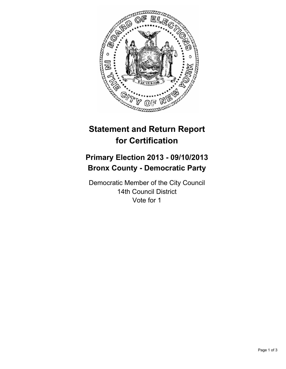

# **Statement and Return Report for Certification**

## **Primary Election 2013 - 09/10/2013 Bronx County - Democratic Party**

Democratic Member of the City Council 14th Council District Vote for 1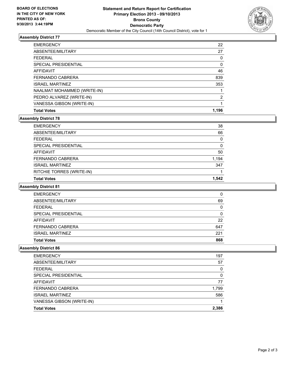

## **Assembly District 77**

| <b>Total Votes</b>          | 1.196 |
|-----------------------------|-------|
| VANESSA GIBSON (WRITE-IN)   |       |
| PEDRO ALVAREZ (WRITE-IN)    | 2     |
| NAALMAT MOHAMMED (WRITE-IN) |       |
| <b>ISRAEL MARTINEZ</b>      | 353   |
| <b>FERNANDO CABRERA</b>     | 839   |
| <b>AFFIDAVIT</b>            | 46    |
| SPECIAL PRESIDENTIAL        | 0     |
| FFDFRAI                     | 0     |
| ABSENTEE/MILITARY           | 27    |
| <b>EMERGENCY</b>            | 22    |

## **Assembly District 78**

| <b>EMERGENCY</b>          | 38    |
|---------------------------|-------|
| ABSENTEE/MILITARY         | 66    |
| <b>FEDERAL</b>            | 0     |
| SPECIAL PRESIDENTIAL      | 0     |
| <b>AFFIDAVIT</b>          | 50    |
| <b>FERNANDO CABRERA</b>   | 1,194 |
| <b>ISRAEL MARTINEZ</b>    | 347   |
| RITCHIE TORRES (WRITE-IN) |       |
| <b>Total Votes</b>        | 1.542 |

## **Assembly District 81**

| <b>EMERGENCY</b>        | 0   |
|-------------------------|-----|
| ABSENTEE/MILITARY       | 69  |
| <b>FEDERAL</b>          | 0   |
| SPECIAL PRESIDENTIAL    | 0   |
| AFFIDAVIT               | 22  |
| <b>FERNANDO CABRERA</b> | 647 |
| <b>ISRAEL MARTINEZ</b>  | 221 |
| <b>Total Votes</b>      | 868 |

### **Assembly District 86**

| <b>EMERGENCY</b>          | 197   |
|---------------------------|-------|
| ABSENTEE/MILITARY         | 57    |
| <b>FEDERAL</b>            | 0     |
| SPECIAL PRESIDENTIAL      | 0     |
| AFFIDAVIT                 | 77    |
| FERNANDO CABRERA          | 1,799 |
| <b>ISRAEL MARTINEZ</b>    | 586   |
| VANESSA GIBSON (WRITE-IN) |       |
| <b>Total Votes</b>        | 2.386 |